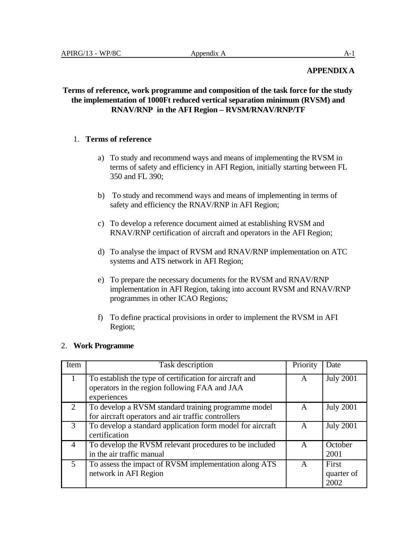#### **APPENDIXA**

### **Terms of reference, work programme and composition of the task force for the study the implementation of 1000Ft reduced vertical separation minimum (RVSM) and RNAV/RNP in the AFI Region – RVSM/RNAV/RNP/TF**

#### 1. **Terms of reference**

- a) To study and recommend ways and means of implementing the RVSM in terms of safety and efficiency in AFI Region, initially starting between FL 350 and FL 390;
- b) To study and recommend ways and means of implementing in terms of safety and efficiency the RNAV/RNP in AFI Region;
- c) To develop a reference document aimed at establishing RVSM and RNAV/RNP certification of aircraft and operators in the AFI Region;
- d) To analyse the impact of RVSM and RNAV/RNP implementation on ATC systems and ATS network in AFI Region;
- e) To prepare the necessary documents for the RVSM and RNAV/RNP implementation in AFI Region, taking into account RVSM and RNAV/RNP programmes in other ICAO Regions;
- f) To define practical provisions in order to implement the RVSM in AFI Region;

#### 2. **Work Programme**

| Item           | Task description                                          | Priority | Date             |
|----------------|-----------------------------------------------------------|----------|------------------|
|                | To establish the type of certification for aircraft and   |          | <b>July 2001</b> |
|                | operators in the region following FAA and JAA             |          |                  |
|                | experiences                                               |          |                  |
| $\mathcal{L}$  | To develop a RVSM standard training programme model       | A        | <b>July 2001</b> |
|                | for aircraft operators and air traffic controllers        |          |                  |
| 3              | To develop a standard application form model for aircraft | A        | <b>July 2001</b> |
|                | certification                                             |          |                  |
| 4              | To develop the RVSM relevant procedures to be included    | A        | October          |
|                | in the air traffic manual                                 |          | 2001             |
| $\overline{5}$ | To assess the impact of RVSM implementation along ATS     | A        | First            |
|                | network in AFI Region                                     |          | quarter of       |
|                |                                                           |          | 2002             |